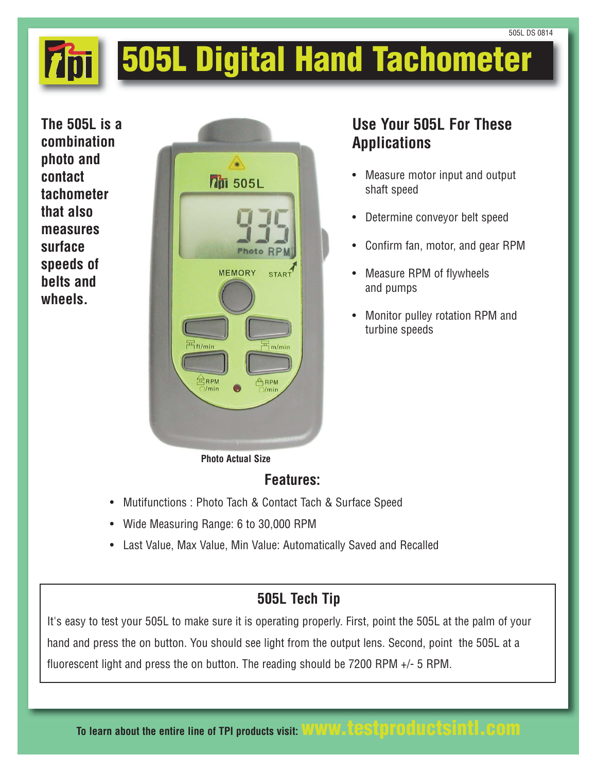# **505L Digital Hand Tachometer**

**The 505L is a combination photo and contact tachometer that also measures surface speeds of belts and wheels.**



### **Use Your 505L For These Applications**

- Measure motor input and output shaft speed
- Determine conveyor belt speed
- Confirm fan, motor, and gear RPM
- Measure RPM of flywheels and pumps
- Monitor pulley rotation RPM and turbine speeds

**Photo Actual Size**

### **Features:**

- Mutifunctions : Photo Tach & Contact Tach & Surface Speed
- Wide Measuring Range: 6 to 30,000 RPM
- Last Value, Max Value, Min Value: Automatically Saved and Recalled

## **505L Tech Tip**

It's easy to test your 505L to make sure it is operating properly. First, point the 505L at the palm of your hand and press the on button. You should see light from the output lens. Second, point the 505L at a fluorescent light and press the on button. The reading should be 7200 RPM +/- 5 RPM.

**To learn about the entire line of TPI products visit: www.testproductsintl.com**